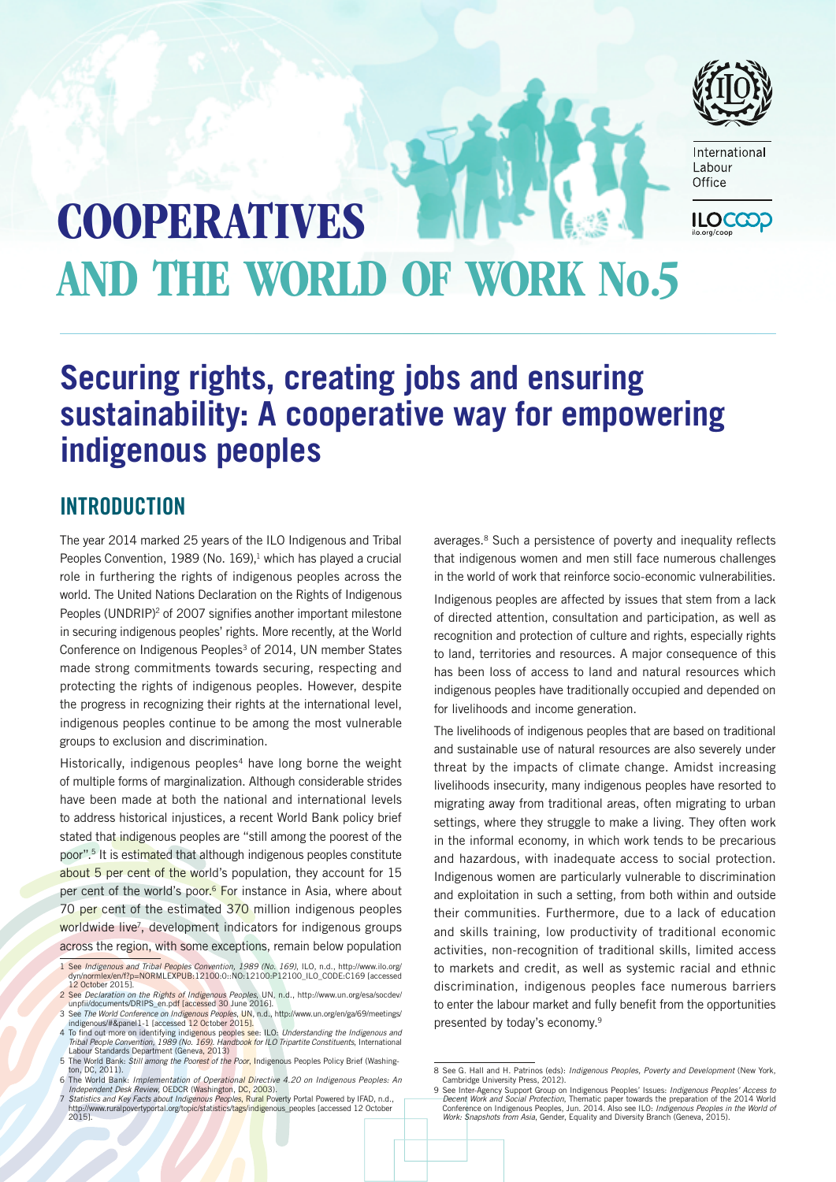

International Labour Office

# **COOPERATIVES ILOCCC** and the world of work No.5

# **Securing rights, creating jobs and ensuring sustainability: A cooperative way for empowering indigenous peoples**

## **INTRODUCTION**

The year 2014 marked 25 years of the ILO Indigenous and Tribal Peoples Convention, 1989 (No.  $169$ ),<sup>1</sup> which has played a crucial role in furthering the rights of indigenous peoples across the world. The United Nations Declaration on the Rights of Indigenous Peoples (UNDRIP)<sup>2</sup> of 2007 signifies another important milestone in securing indigenous peoples' rights. More recently, at the World Conference on Indigenous Peoples<sup>3</sup> of 2014, UN member States made strong commitments towards securing, respecting and protecting the rights of indigenous peoples. However, despite the progress in recognizing their rights at the international level, indigenous peoples continue to be among the most vulnerable groups to exclusion and discrimination.

Historically, indigenous peoples<sup>4</sup> have long borne the weight of multiple forms of marginalization. Although considerable strides have been made at both the national and international levels to address historical injustices, a recent World Bank policy brief stated that indigenous peoples are "still among the poorest of the poor".5 It is estimated that although indigenous peoples constitute about 5 per cent of the world's population, they account for 15 per cent of the world's poor.<sup>6</sup> For instance in Asia, where about 70 per cent of the estimated 370 million indigenous peoples worldwide live<sup>7</sup>, development indicators for indigenous groups across the region, with some exceptions, remain below population

averages.<sup>8</sup> Such a persistence of poverty and inequality reflects that indigenous women and men still face numerous challenges in the world of work that reinforce socio-economic vulnerabilities.

Indigenous peoples are affected by issues that stem from a lack of directed attention, consultation and participation, as well as recognition and protection of culture and rights, especially rights to land, territories and resources. A major consequence of this has been loss of access to land and natural resources which indigenous peoples have traditionally occupied and depended on for livelihoods and income generation.

The livelihoods of indigenous peoples that are based on traditional and sustainable use of natural resources are also severely under threat by the impacts of climate change. Amidst increasing livelihoods insecurity, many indigenous peoples have resorted to migrating away from traditional areas, often migrating to urban settings, where they struggle to make a living. They often work in the informal economy, in which work tends to be precarious and hazardous, with inadequate access to social protection. Indigenous women are particularly vulnerable to discrimination and exploitation in such a setting, from both within and outside their communities. Furthermore, due to a lack of education and skills training, low productivity of traditional economic activities, non-recognition of traditional skills, limited access to markets and credit, as well as systemic racial and ethnic discrimination, indigenous peoples face numerous barriers to enter the labour market and fully benefit from the opportunities presented by today's economy.9

<sup>1</sup> See *Indigenous and Tribal Peoples Convention, 1989 (No. 169)*, ILO, n.d., [http://www.ilo.org/](http://www.ilo.org/dyn/normlex/en/f?p=NORMLEXPUB:12100:0::NO:12100:P12100_ILO_CODE:C169) [dyn/normlex/en/f?p=NORMLEXPUB:12100:0::NO:12100:P12100\\_ILO\\_CODE:C169](http://www.ilo.org/dyn/normlex/en/f?p=NORMLEXPUB:12100:0::NO:12100:P12100_ILO_CODE:C169) [accessed 12 October 2015].

<sup>2</sup> See *Declaration on the Rights of Indigenous Peoples*, UN, n.d., [http://www.un.org/esa/socdev/](http://www.un.org/esa/socdev/unpfii/documents/DRIPS_en.pdf) [unpfii/documents/DRIPS\\_en.pdf](http://www.un.org/esa/socdev/unpfii/documents/DRIPS_en.pdf) [accessed 30 June 2016].

<sup>3</sup> See *The World Conference on Indigenous Peoples*, UN, n.d., [http://www.un.org/en/ga/69/meetings/](http://www.un.org/en/ga/69/meetings/indigenous/#&panel1-1) [indigenous/#&panel1-1](http://www.un.org/en/ga/69/meetings/indigenous/#&panel1-1) [accessed 12 October 2015].<br>4 To find out more on identifying indigenous peoples see: ILO: *Understanding the Indigenous and*<br>7 Tribal People Convention, 1989 (No. 169). Handbook for ILO Tripartite Co

Labour Standards Department (Geneva, 2013)

<sup>5</sup> The World Bank: *Still among the Poorest of the Poor*, Indigenous Peoples Policy Brief (Washington, DC, 2011). 6 The World Bank: *Implementation of Operational Directive 4.20 on Indigenous Peoples: An* 

*Independent Desk Review*, OEDCR (Washington, DC, 2003). 7 *Statistics and Key Facts about Indigenous Peoples*, Rural Poverty Portal Powered by IFAD, n.d.,

[http://www.ruralpovertyportal.org/topic/statistics/tags/indigenous\\_peoples](http://www.ruralpovertyportal.org/topic/statistics/tags/indigenous_peoples) [accessed 12 October 2015].

<sup>8</sup> See G. Hall and H. Patrinos (eds): *Indigenous Peoples, Poverty and Development* (New York, Cambridge University Press, 2012).

<sup>9</sup> See Inter-Agency Support Group on Indigenous Peoples' Issues: *Indigenous Peoples' Access to Decent Work and Social Protection*, Thematic paper towards the preparation of the 2014 World Conference on Indigenous Peoples, Jun. 2014. Also see ILO: *Indigenous Peoples in the World of Work: Snapshots from Asia*, Gender, Equality and Diversity Branch (Geneva, 2015).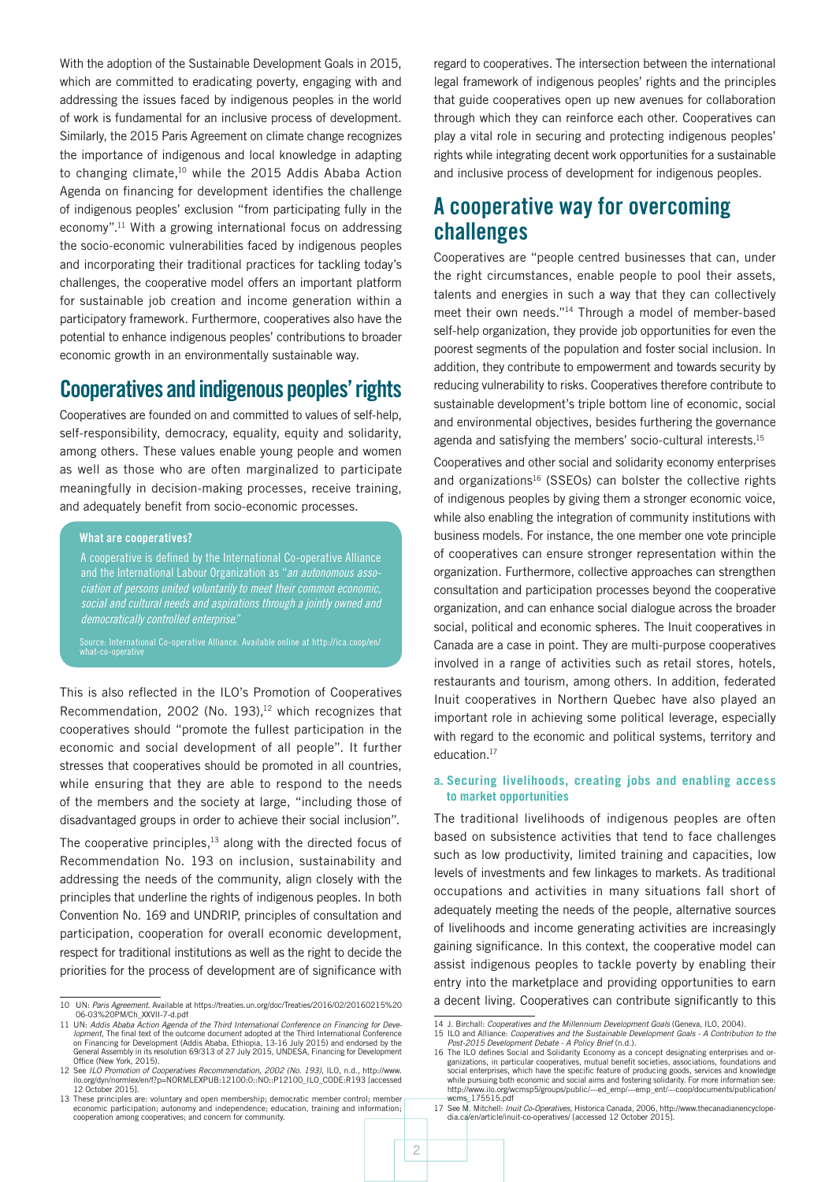With the adoption of the Sustainable Development Goals in 2015, which are committed to eradicating poverty, engaging with and addressing the issues faced by indigenous peoples in the world of work is fundamental for an inclusive process of development. Similarly, the 2015 Paris Agreement on climate change recognizes the importance of indigenous and local knowledge in adapting to changing climate,<sup>10</sup> while the 2015 Addis Ababa Action Agenda on financing for development identifies the challenge of indigenous peoples' exclusion "from participating fully in the economy".11 With a growing international focus on addressing the socio-economic vulnerabilities faced by indigenous peoples and incorporating their traditional practices for tackling today's challenges, the cooperative model offers an important platform for sustainable job creation and income generation within a participatory framework. Furthermore, cooperatives also have the potential to enhance indigenous peoples' contributions to broader economic growth in an environmentally sustainable way.

## Cooperatives and indigenous peoples' rights

Cooperatives are founded on and committed to values of self-help, self-responsibility, democracy, equality, equity and solidarity, among others. These values enable young people and women as well as those who are often marginalized to participate meaningfully in decision-making processes, receive training, and adequately benefit from socio-economic processes.

#### What are cooperatives?

A cooperative is defined by the International Co-operative Alliance and the International Labour Organization as "*an autonomous association of persons united voluntarily to meet their common economic, social and cultural needs and aspirations through a jointly owned and democratically controlled enterprise*."

Source: International Co-operative Alliance. Available online at http://ica.coop/en/ what-co-operative

This is also reflected in the ILO's Promotion of Cooperatives Recommendation, 2002 (No. 193),<sup>12</sup> which recognizes that cooperatives should "promote the fullest participation in the economic and social development of all people". It further stresses that cooperatives should be promoted in all countries, while ensuring that they are able to respond to the needs of the members and the society at large, "including those of disadvantaged groups in order to achieve their social inclusion".

The cooperative principles, $13$  along with the directed focus of Recommendation No. 193 on inclusion, sustainability and addressing the needs of the community, align closely with the principles that underline the rights of indigenous peoples. In both Convention No. 169 and UNDRIP, principles of consultation and participation, cooperation for overall economic development, respect for traditional institutions as well as the right to decide the priorities for the process of development are of significance with regard to cooperatives. The intersection between the international legal framework of indigenous peoples' rights and the principles that guide cooperatives open up new avenues for collaboration through which they can reinforce each other. Cooperatives can play a vital role in securing and protecting indigenous peoples' rights while integrating decent work opportunities for a sustainable and inclusive process of development for indigenous peoples.

### A cooperative way for overcoming challenges

Cooperatives are "people centred businesses that can, under the right circumstances, enable people to pool their assets, talents and energies in such a way that they can collectively meet their own needs."14 Through a model of member-based self-help organization, they provide job opportunities for even the poorest segments of the population and foster social inclusion. In addition, they contribute to empowerment and towards security by reducing vulnerability to risks. Cooperatives therefore contribute to sustainable development's triple bottom line of economic, social and environmental objectives, besides furthering the governance agenda and satisfying the members' socio-cultural interests.<sup>15</sup>

Cooperatives and other social and solidarity economy enterprises and organizations<sup>16</sup> (SSEOs) can bolster the collective rights of indigenous peoples by giving them a stronger economic voice, while also enabling the integration of community institutions with business models. For instance, the one member one vote principle of cooperatives can ensure stronger representation within the organization. Furthermore, collective approaches can strengthen consultation and participation processes beyond the cooperative organization, and can enhance social dialogue across the broader social, political and economic spheres. The Inuit cooperatives in Canada are a case in point. They are multi-purpose cooperatives involved in a range of activities such as retail stores, hotels, restaurants and tourism, among others. In addition, federated Inuit cooperatives in Northern Quebec have also played an important role in achieving some political leverage, especially with regard to the economic and political systems, territory and education.17

#### **a. Securing livelihoods, creating jobs and enabling access to market opportunities**

The traditional livelihoods of indigenous peoples are often based on subsistence activities that tend to face challenges such as low productivity, limited training and capacities, low levels of investments and few linkages to markets. As traditional occupations and activities in many situations fall short of adequately meeting the needs of the people, alternative sources of livelihoods and income generating activities are increasingly gaining significance. In this context, the cooperative model can assist indigenous peoples to tackle poverty by enabling their entry into the marketplace and providing opportunities to earn a decent living. Cooperatives can contribute significantly to this

<sup>10</sup> UN: *Paris Agreement*. Available at [https://treaties.un.org/doc/Treaties/2016/02/20160215%20](https://treaties.un.org/doc/Treaties/2016/02/20160215%2006-03%20PM/Ch_XXVII-7-d.pdf) [06-03%20PM/Ch\\_XXVII-7-d.pdf](https://treaties.un.org/doc/Treaties/2016/02/20160215%2006-03%20PM/Ch_XXVII-7-d.pdf)

<sup>11</sup> UN: *Addis Ababa Action Agenda of the Third International Conference on Financing for Development*, The final text of the outcome document adopted at the Third International Conference on Financing for Development (Addis Ababa, Ethiopia, 13-16 July 2015) and endorsed by the General Assembly in its resolution 69/313 of 27 July 2015, UNDESA, Financing for Development Office (New York, 2015).

<sup>12</sup> See *ILO Promotion of Cooperatives Recommendation, 2002 (No. 193)*, ILO, n.d., [http://www.](http://www.ilo.org/dyn/normlex/en/f?p=NORMLEXPUB:12100:0::NO::P12100_ILO_CODE:R193) [ilo.org/dyn/normlex/en/f?p=NORMLEXPUB:12100:0::NO::P12100\\_ILO\\_CODE:R193](http://www.ilo.org/dyn/normlex/en/f?p=NORMLEXPUB:12100:0::NO::P12100_ILO_CODE:R193) [accessed 12 October 2015].

<sup>13</sup> These principles are: voluntary and open membership; democratic member control; member economic participation; autonomy and independence; education, training and information; cooperation among cooperatives; and concern for community.

<sup>14</sup> J. Birchall: *Cooperatives and the Millennium Development Goals* (Geneva, ILO, 2004).

<sup>15</sup> ILO and Alliance: *Cooperatives and the Sustainable Development Goals - A Contribution to the Post-2015 Development Debate - A Policy Brief* (n.d.). 16 The ILO defines Social and Solidarity Economy as a concept designating enterprises and or-

ganizations, in particular cooperatives, mutual benefit societies, associations, foundations and<br>social enterprises, which have the specific feature of producing goods, services and knowledge<br>while pursuing both economic a [http://www.ilo.org/wcmsp5/groups/public/---ed\\_emp/---emp\\_ent/---coop/documents/publication/](http://www.ilo.org/wcmsp5/groups/public/---ed_emp/---emp_ent/---coop/documents/publication/wcms_175515.pdf) [wcms\\_175515.pdf](http://www.ilo.org/wcmsp5/groups/public/---ed_emp/---emp_ent/---coop/documents/publication/wcms_175515.pdf)

<sup>17</sup> See M. Mitchell: *Inuit Co-Operatives*, Historica Canada, 2006, [http://www.thecanadianencyclope](http://www.thecanadianencyclopedia.ca/en/article/inuit-co-operatives/)[dia.ca/en/article/inuit-co-operatives/](http://www.thecanadianencyclopedia.ca/en/article/inuit-co-operatives/) [accessed 12 October 2015].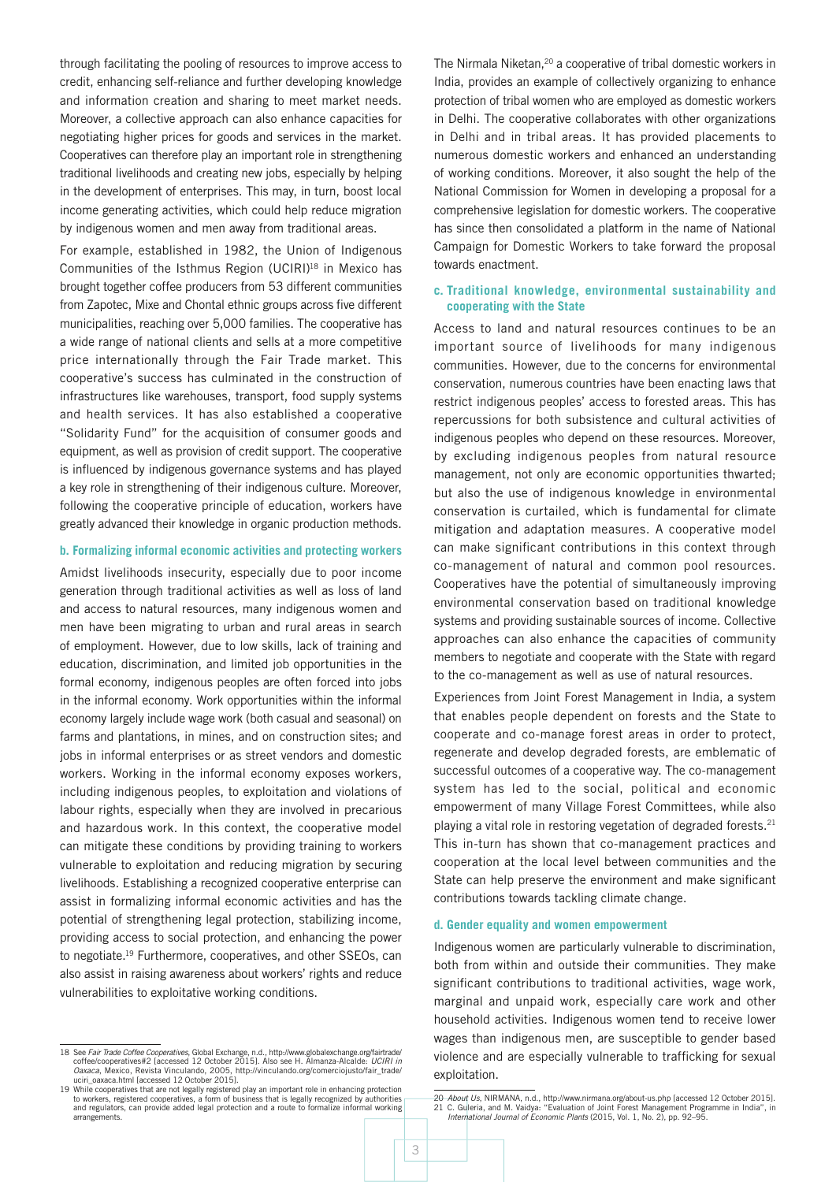through facilitating the pooling of resources to improve access to credit, enhancing self-reliance and further developing knowledge and information creation and sharing to meet market needs. Moreover, a collective approach can also enhance capacities for negotiating higher prices for goods and services in the market. Cooperatives can therefore play an important role in strengthening traditional livelihoods and creating new jobs, especially by helping in the development of enterprises. This may, in turn, boost local income generating activities, which could help reduce migration by indigenous women and men away from traditional areas.

For example, established in 1982, the Union of Indigenous Communities of the Isthmus Region (UCIRI)<sup>18</sup> in Mexico has brought together coffee producers from 53 different communities from Zapotec, Mixe and Chontal ethnic groups across five different municipalities, reaching over 5,000 families. The cooperative has a wide range of national clients and sells at a more competitive price internationally through the Fair Trade market. This cooperative's success has culminated in the construction of infrastructures like warehouses, transport, food supply systems and health services. It has also established a cooperative "Solidarity Fund" for the acquisition of consumer goods and equipment, as well as provision of credit support. The cooperative is influenced by indigenous governance systems and has played a key role in strengthening of their indigenous culture. Moreover, following the cooperative principle of education, workers have greatly advanced their knowledge in organic production methods.

#### **b. Formalizing informal economic activities and protecting workers**

Amidst livelihoods insecurity, especially due to poor income generation through traditional activities as well as loss of land and access to natural resources, many indigenous women and men have been migrating to urban and rural areas in search of employment. However, due to low skills, lack of training and education, discrimination, and limited job opportunities in the formal economy, indigenous peoples are often forced into jobs in the informal economy. Work opportunities within the informal economy largely include wage work (both casual and seasonal) on farms and plantations, in mines, and on construction sites; and jobs in informal enterprises or as street vendors and domestic workers. Working in the informal economy exposes workers, including indigenous peoples, to exploitation and violations of labour rights, especially when they are involved in precarious and hazardous work. In this context, the cooperative model can mitigate these conditions by providing training to workers vulnerable to exploitation and reducing migration by securing livelihoods. Establishing a recognized cooperative enterprise can assist in formalizing informal economic activities and has the potential of strengthening legal protection, stabilizing income, providing access to social protection, and enhancing the power to negotiate.19 Furthermore, cooperatives, and other SSEOs, can also assist in raising awareness about workers' rights and reduce vulnerabilities to exploitative working conditions.

The Nirmala Niketan,<sup>20</sup> a cooperative of tribal domestic workers in India, provides an example of collectively organizing to enhance protection of tribal women who are employed as domestic workers in Delhi. The cooperative collaborates with other organizations in Delhi and in tribal areas. It has provided placements to numerous domestic workers and enhanced an understanding of working conditions. Moreover, it also sought the help of the National Commission for Women in developing a proposal for a comprehensive legislation for domestic workers. The cooperative has since then consolidated a platform in the name of National Campaign for Domestic Workers to take forward the proposal towards enactment.

#### **c. Traditional knowledge, environmental sustainability and cooperating with the State**

Access to land and natural resources continues to be an important source of livelihoods for many indigenous communities. However, due to the concerns for environmental conservation, numerous countries have been enacting laws that restrict indigenous peoples' access to forested areas. This has repercussions for both subsistence and cultural activities of indigenous peoples who depend on these resources. Moreover, by excluding indigenous peoples from natural resource management, not only are economic opportunities thwarted; but also the use of indigenous knowledge in environmental conservation is curtailed, which is fundamental for climate mitigation and adaptation measures. A cooperative model can make significant contributions in this context through co-management of natural and common pool resources. Cooperatives have the potential of simultaneously improving environmental conservation based on traditional knowledge systems and providing sustainable sources of income. Collective approaches can also enhance the capacities of community members to negotiate and cooperate with the State with regard to the co-management as well as use of natural resources.

Experiences from Joint Forest Management in India, a system that enables people dependent on forests and the State to cooperate and co-manage forest areas in order to protect, regenerate and develop degraded forests, are emblematic of successful outcomes of a cooperative way. The co-management system has led to the social, political and economic empowerment of many Village Forest Committees, while also playing a vital role in restoring vegetation of degraded forests.21 This in-turn has shown that co-management practices and cooperation at the local level between communities and the State can help preserve the environment and make significant contributions towards tackling climate change.

#### **d. Gender equality and women empowerment**

Indigenous women are particularly vulnerable to discrimination, both from within and outside their communities. They make significant contributions to traditional activities, wage work, marginal and unpaid work, especially care work and other household activities. Indigenous women tend to receive lower wages than indigenous men, are susceptible to gender based violence and are especially vulnerable to trafficking for sexual exploitation.

<sup>18</sup> See *Fair Trade Coffee Cooperatives*, Global Exchange, n.d., [http://www.globalexchange.org/fairtrade/](http://www.globalexchange.org/fairtrade/coffee/cooperatives#2) [coffee/cooperatives#2](http://www.globalexchange.org/fairtrade/coffee/cooperatives#2) [accessed 12 October 2015]. Also see H. Almanza-Alcalde: *UCIRI in Oaxaca*, Mexico, Revista Vinculando, 2005, http://vinculando.org/comerciojusto/fair\_trade/<br>uciri\_oaxaca.html [accessed 12 October 2015].

<sup>19</sup> While cooperatives that are not legally registered play an important role in enhancing protection<br>to workers, registered cooperatives, a form of business that is legally recognized by authorities<br>and regulators, can pro arrangements.

<sup>20</sup> *About Us*, NIRMANA, n.d., http://www.nirmana.org/about-us.php [accessed 12 October 2015]. 21 C. Guleria, and M. Vaidya: "Evaluation of Joint Forest Management Programme in India", in *International Journal of Economic Plants* (2015, Vol. 1, No. 2), pp. 92–95.